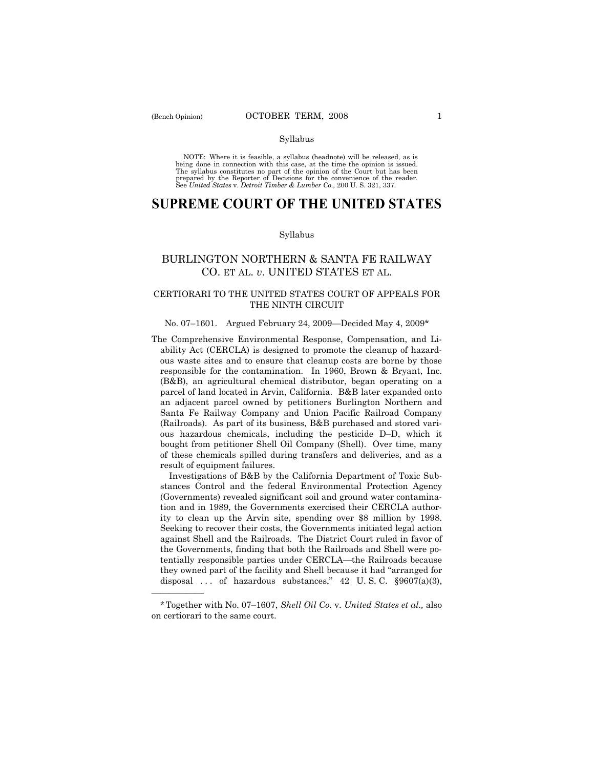——————

### Syllabus

NOTE: Where it is feasible, a syllabus (headnote) will be released, as is being done in connection with this case, at the time the opinion is issued. The syllabus constitutes no part of the opinion of the Court but has been<br>prepared by the Reporter of Decisions for the convenience of the reader.<br>See United States v. Detroit Timber & Lumber Co., 200 U. S. 321, 337.

# **SUPREME COURT OF THE UNITED STATES**

### Syllabus

# BURLINGTON NORTHERN & SANTA FE RAILWAY CO. ET AL. *v*. UNITED STATES ET AL.

## CERTIORARI TO THE UNITED STATES COURT OF APPEALS FOR THE NINTH CIRCUIT

## No. 07–1601. Argued February 24, 2009—Decided May 4, 2009\*

The Comprehensive Environmental Response, Compensation, and Liability Act (CERCLA) is designed to promote the cleanup of hazardous waste sites and to ensure that cleanup costs are borne by those responsible for the contamination. In 1960, Brown & Bryant, Inc. (B&B), an agricultural chemical distributor, began operating on a parcel of land located in Arvin, California. B&B later expanded onto an adjacent parcel owned by petitioners Burlington Northern and Santa Fe Railway Company and Union Pacific Railroad Company (Railroads). As part of its business, B&B purchased and stored various hazardous chemicals, including the pesticide D–D, which it bought from petitioner Shell Oil Company (Shell). Over time, many of these chemicals spilled during transfers and deliveries, and as a result of equipment failures.

 Investigations of B&B by the California Department of Toxic Substances Control and the federal Environmental Protection Agency (Governments) revealed significant soil and ground water contamination and in 1989, the Governments exercised their CERCLA authority to clean up the Arvin site, spending over \$8 million by 1998. Seeking to recover their costs, the Governments initiated legal action against Shell and the Railroads. The District Court ruled in favor of the Governments, finding that both the Railroads and Shell were potentially responsible parties under CERCLA—the Railroads because they owned part of the facility and Shell because it had "arranged for disposal ... of hazardous substances,"  $42$  U.S.C.  $\S 9607(a)(3)$ ,

<sup>\*</sup>Together with No. 07–1607, *Shell Oil Co.* v. *United States et al.,* also on certiorari to the same court.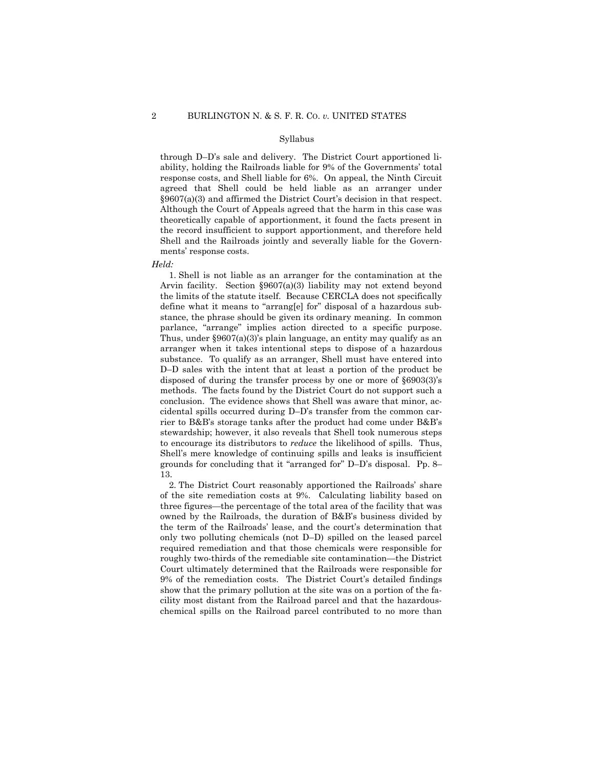#### Syllabus

through D–D's sale and delivery. The District Court apportioned liability, holding the Railroads liable for 9% of the Governments' total response costs, and Shell liable for 6%. On appeal, the Ninth Circuit agreed that Shell could be held liable as an arranger under §9607(a)(3) and affirmed the District Court's decision in that respect. Although the Court of Appeals agreed that the harm in this case was theoretically capable of apportionment, it found the facts present in the record insufficient to support apportionment, and therefore held Shell and the Railroads jointly and severally liable for the Governments' response costs.

*Held:* 

 1. Shell is not liable as an arranger for the contamination at the Arvin facility. Section §9607(a)(3) liability may not extend beyond the limits of the statute itself. Because CERCLA does not specifically define what it means to "arrang[e] for" disposal of a hazardous substance, the phrase should be given its ordinary meaning. In common parlance, "arrange" implies action directed to a specific purpose. Thus, under  $\S 9607(a)(3)$ 's plain language, an entity may qualify as an arranger when it takes intentional steps to dispose of a hazardous substance. To qualify as an arranger, Shell must have entered into D–D sales with the intent that at least a portion of the product be disposed of during the transfer process by one or more of §6903(3)'s methods. The facts found by the District Court do not support such a conclusion. The evidence shows that Shell was aware that minor, accidental spills occurred during D–D's transfer from the common carrier to B&B's storage tanks after the product had come under B&B's stewardship; however, it also reveals that Shell took numerous steps to encourage its distributors to *reduce* the likelihood of spills. Thus, Shell's mere knowledge of continuing spills and leaks is insufficient grounds for concluding that it "arranged for" D–D's disposal. Pp. 8– 13.

 2. The District Court reasonably apportioned the Railroads' share of the site remediation costs at 9%. Calculating liability based on three figures—the percentage of the total area of the facility that was owned by the Railroads, the duration of B&B's business divided by the term of the Railroads' lease, and the court's determination that only two polluting chemicals (not D–D) spilled on the leased parcel required remediation and that those chemicals were responsible for roughly two-thirds of the remediable site contamination—the District Court ultimately determined that the Railroads were responsible for 9% of the remediation costs. The District Court's detailed findings show that the primary pollution at the site was on a portion of the facility most distant from the Railroad parcel and that the hazardouschemical spills on the Railroad parcel contributed to no more than